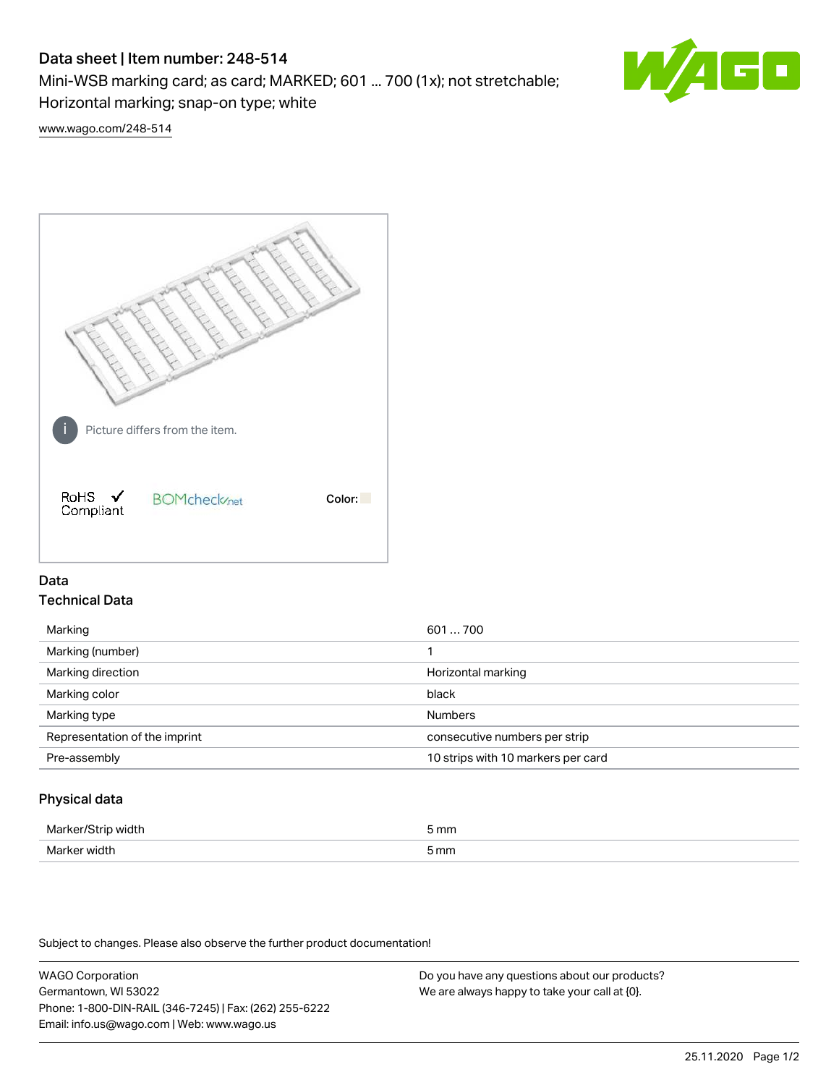# Data sheet | Item number: 248-514

Mini-WSB marking card; as card; MARKED; 601 ... 700 (1x); not stretchable;

Horizontal marking; snap-on type; white

[www.wago.com/248-514](http://www.wago.com/248-514)



## Data Technical Data

| Marking                       | 601700                             |
|-------------------------------|------------------------------------|
| Marking (number)              |                                    |
| Marking direction             | Horizontal marking                 |
| Marking color                 | black                              |
| Marking type                  | <b>Numbers</b>                     |
| Representation of the imprint | consecutive numbers per strip      |
| Pre-assembly                  | 10 strips with 10 markers per card |
|                               |                                    |

## Physical data

| Markar/S<br>71CI LE | 5 mm |
|---------------------|------|
| Marker width        | 5 mm |

Subject to changes. Please also observe the further product documentation!

WAGO Corporation Germantown, WI 53022 Phone: 1-800-DIN-RAIL (346-7245) | Fax: (262) 255-6222 Email: info.us@wago.com | Web: www.wago.us Do you have any questions about our products? We are always happy to take your call at {0}.